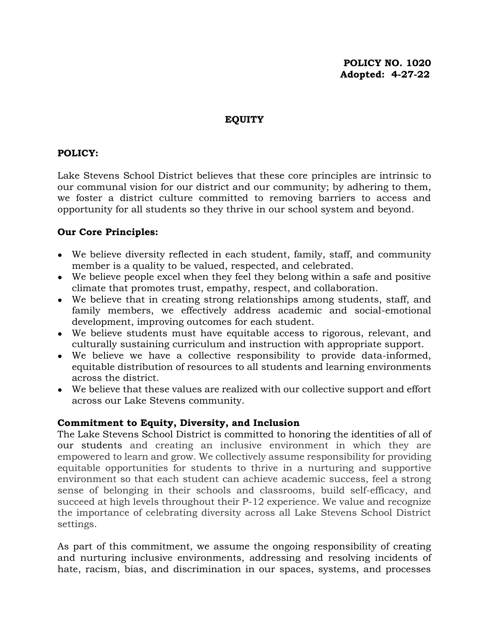#### **EQUITY**

## **POLICY:**

Lake Stevens School District believes that these core principles are intrinsic to our communal vision for our district and our community; by adhering to them, we foster a district culture committed to removing barriers to access and opportunity for all students so they thrive in our school system and beyond.

### **Our Core Principles:**

- We believe diversity reflected in each student, family, staff, and community member is a quality to be valued, respected, and celebrated.
- We believe people excel when they feel they belong within a safe and positive climate that promotes trust, empathy, respect, and collaboration.
- We believe that in creating strong relationships among students, staff, and family members, we effectively address academic and social-emotional development, improving outcomes for each student.
- We believe students must have equitable access to rigorous, relevant, and culturally sustaining curriculum and instruction with appropriate support.
- We believe we have a collective responsibility to provide data-informed, equitable distribution of resources to all students and learning environments across the district.
- We believe that these values are realized with our collective support and effort across our Lake Stevens community.

#### **Commitment to Equity, Diversity, and Inclusion**

The Lake Stevens School District is committed to honoring the identities of all of our students and creating an inclusive environment in which they are empowered to learn and grow. We collectively assume responsibility for providing equitable opportunities for students to thrive in a nurturing and supportive environment so that each student can achieve academic success, feel a strong sense of belonging in their schools and classrooms, build self-efficacy, and succeed at high levels throughout their P-12 experience. We value and recognize the importance of celebrating diversity across all Lake Stevens School District settings.

As part of this commitment, we assume the ongoing responsibility of creating and nurturing inclusive environments, addressing and resolving incidents of hate, racism, bias, and discrimination in our spaces, systems, and processes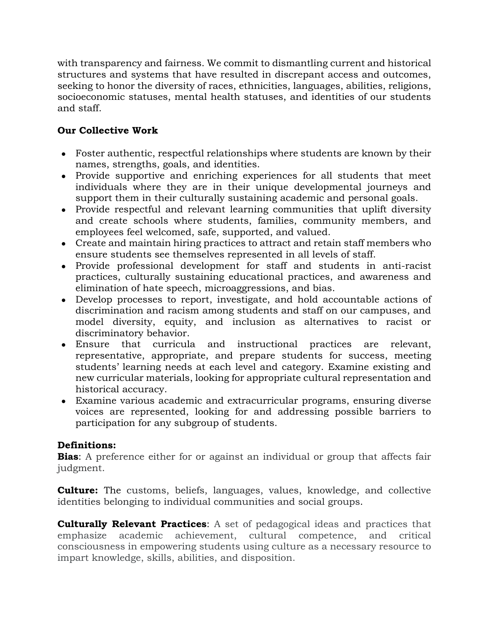with transparency and fairness. We commit to dismantling current and historical structures and systems that have resulted in discrepant access and outcomes, seeking to honor the diversity of races, ethnicities, languages, abilities, religions, socioeconomic statuses, mental health statuses, and identities of our students and staff.

# **Our Collective Work**

- Foster authentic, respectful relationships where students are known by their names, strengths, goals, and identities.
- Provide supportive and enriching experiences for all students that meet individuals where they are in their unique developmental journeys and support them in their culturally sustaining academic and personal goals.
- Provide respectful and relevant learning communities that uplift diversity and create schools where students, families, community members, and employees feel welcomed, safe, supported, and valued.
- Create and maintain hiring practices to attract and retain staff members who ensure students see themselves represented in all levels of staff.
- Provide professional development for staff and students in anti-racist practices, culturally sustaining educational practices, and awareness and elimination of hate speech, microaggressions, and bias.
- Develop processes to report, investigate, and hold accountable actions of discrimination and racism among students and staff on our campuses, and model diversity, equity, and inclusion as alternatives to racist or discriminatory behavior.
- Ensure that curricula and instructional practices are relevant, representative, appropriate, and prepare students for success, meeting students' learning needs at each level and category. Examine existing and new curricular materials, looking for appropriate cultural representation and historical accuracy.
- Examine various academic and extracurricular programs, ensuring diverse voices are represented, looking for and addressing possible barriers to participation for any subgroup of students.

## **Definitions:**

**Bias**: A preference either for or against an individual or group that affects fair judgment.

**Culture:** The customs, beliefs, languages, values, knowledge, and collective identities belonging to individual communities and social groups.

**Culturally Relevant Practices**: A set of pedagogical ideas and practices that emphasize academic achievement, cultural competence, and critical consciousness in empowering students using culture as a necessary resource to impart knowledge, skills, abilities, and disposition.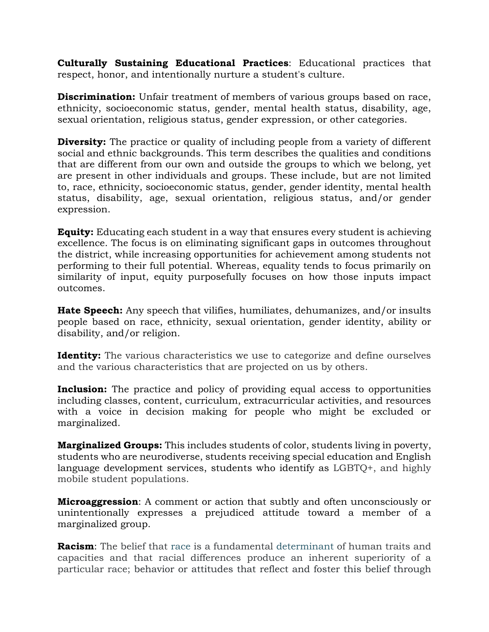**Culturally Sustaining Educational Practices**: Educational practices that respect, honor, and intentionally nurture a student's culture.

**Discrimination:** Unfair treatment of members of various groups based on race, ethnicity, socioeconomic status, gender, mental health status, disability, age, sexual orientation, religious status, gender expression, or other categories.

**Diversity:** The practice or quality of including people from a variety of different social and ethnic backgrounds. This term describes the qualities and conditions that are different from our own and outside the groups to which we belong, yet are present in other individuals and groups. These include, but are not limited to, race, ethnicity, socioeconomic status, gender, gender identity, mental health status, disability, age, sexual orientation, religious status, and/or gender expression.

**Equity:** Educating each student in a way that ensures every student is achieving excellence. The focus is on eliminating significant gaps in outcomes throughout the district, while increasing opportunities for achievement among students not performing to their full potential. Whereas, equality tends to focus primarily on similarity of input, equity purposefully focuses on how those inputs impact outcomes.

**Hate Speech:** Any speech that vilifies, humiliates, dehumanizes, and/or insults people based on race, ethnicity, sexual orientation, gender identity, ability or disability, and/or religion.

**Identity:** The various characteristics we use to categorize and define ourselves and the various characteristics that are projected on us by others.

**Inclusion:** The practice and policy of providing equal access to opportunities including classes, content, curriculum, extracurricular activities, and resources with a voice in decision making for people who might be excluded or marginalized.

**Marginalized Groups:** This includes students of color, students living in poverty, students who are neurodiverse, students receiving special education and English language development services, students who identify as LGBTQ+, and highly mobile student populations.

**Microaggression**: A comment or action that subtly and often unconsciously or unintentionally expresses a prejudiced attitude toward a member of a marginalized group.

**Racism**: The belief that [race](https://www.merriam-webster.com/dictionary/race#h1) is a fundamental [determinant](https://www.merriam-webster.com/dictionary/determinant) of human traits and capacities and that racial differences produce an inherent superiority of a particular race; behavior or attitudes that reflect and foster this belief through